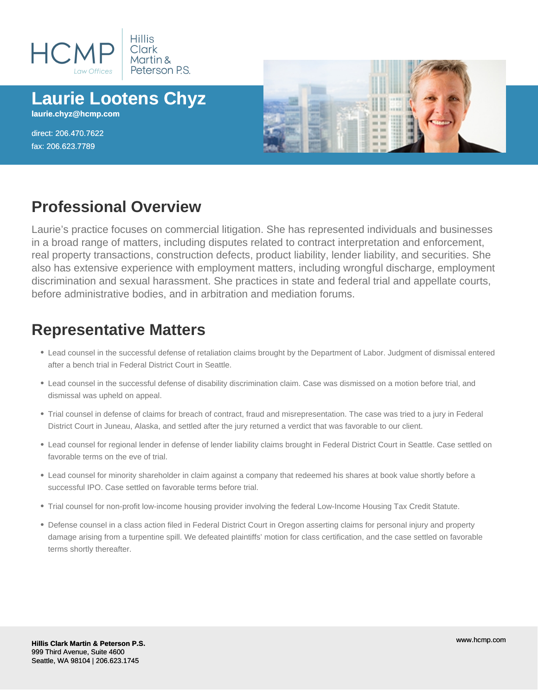

# **Laurie Lootens Chyz**

**laurie.chyz@hcmp.com**

direct: 206.470.7622 fax: 206.623.7789



## **Professional Overview**

Laurie's practice focuses on commercial litigation. She has represented individuals and businesses in a broad range of matters, including disputes related to contract interpretation and enforcement, real property transactions, construction defects, product liability, lender liability, and securities. She also has extensive experience with employment matters, including wrongful discharge, employment discrimination and sexual harassment. She practices in state and federal trial and appellate courts, before administrative bodies, and in arbitration and mediation forums.

### **Representative Matters**

- Lead counsel in the successful defense of retaliation claims brought by the Department of Labor. Judgment of dismissal entered after a bench trial in Federal District Court in Seattle.
- Lead counsel in the successful defense of disability discrimination claim. Case was dismissed on a motion before trial, and dismissal was upheld on appeal.
- Trial counsel in defense of claims for breach of contract, fraud and misrepresentation. The case was tried to a jury in Federal District Court in Juneau, Alaska, and settled after the jury returned a verdict that was favorable to our client.
- Lead counsel for regional lender in defense of lender liability claims brought in Federal District Court in Seattle. Case settled on favorable terms on the eve of trial.
- Lead counsel for minority shareholder in claim against a company that redeemed his shares at book value shortly before a successful IPO. Case settled on favorable terms before trial.
- Trial counsel for non-profit low-income housing provider involving the federal Low-Income Housing Tax Credit Statute.
- Defense counsel in a class action filed in Federal District Court in Oregon asserting claims for personal injury and property damage arising from a turpentine spill. We defeated plaintiffs' motion for class certification, and the case settled on favorable terms shortly thereafter.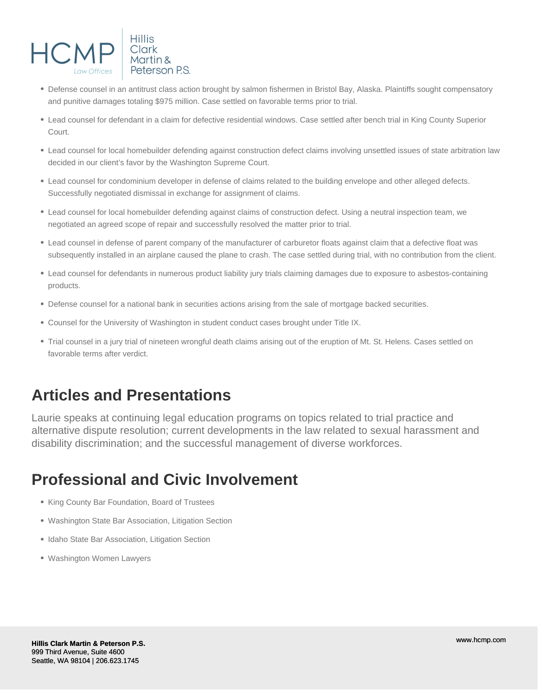

- Defense counsel in an antitrust class action brought by salmon fishermen in Bristol Bay, Alaska. Plaintiffs sought compensatory and punitive damages totaling \$975 million. Case settled on favorable terms prior to trial.
- Lead counsel for defendant in a claim for defective residential windows. Case settled after bench trial in King County Superior Court.
- Lead counsel for local homebuilder defending against construction defect claims involving unsettled issues of state arbitration law decided in our client's favor by the Washington Supreme Court.
- Lead counsel for condominium developer in defense of claims related to the building envelope and other alleged defects. Successfully negotiated dismissal in exchange for assignment of claims.
- Lead counsel for local homebuilder defending against claims of construction defect. Using a neutral inspection team, we negotiated an agreed scope of repair and successfully resolved the matter prior to trial.
- Lead counsel in defense of parent company of the manufacturer of carburetor floats against claim that a defective float was subsequently installed in an airplane caused the plane to crash. The case settled during trial, with no contribution from the client.
- Lead counsel for defendants in numerous product liability jury trials claiming damages due to exposure to asbestos-containing products.
- Defense counsel for a national bank in securities actions arising from the sale of mortgage backed securities.
- Counsel for the University of Washington in student conduct cases brought under Title IX.
- Trial counsel in a jury trial of nineteen wrongful death claims arising out of the eruption of Mt. St. Helens. Cases settled on favorable terms after verdict.

#### **Articles and Presentations**

Laurie speaks at continuing legal education programs on topics related to trial practice and alternative dispute resolution; current developments in the law related to sexual harassment and disability discrimination; and the successful management of diverse workforces.

#### **Professional and Civic Involvement**

- King County Bar Foundation, Board of Trustees
- Washington State Bar Association, Litigation Section
- Idaho State Bar Association, Litigation Section
- Washington Women Lawyers